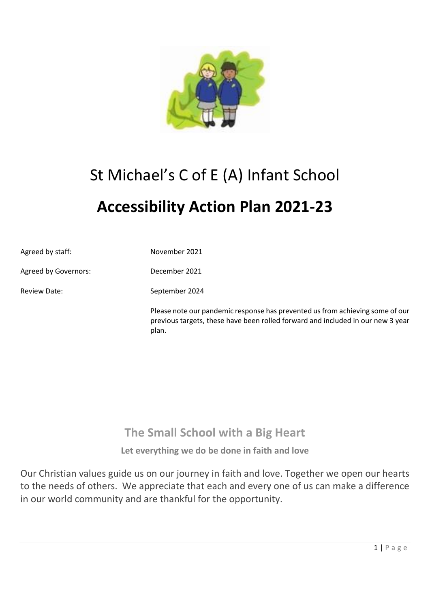

# St Michael's C of E (A) Infant School

# **Accessibility Action Plan 2021-23**

| Agreed by staff:     | November 2021                                                                                                                                                             |
|----------------------|---------------------------------------------------------------------------------------------------------------------------------------------------------------------------|
| Agreed by Governors: | December 2021                                                                                                                                                             |
| <b>Review Date:</b>  | September 2024                                                                                                                                                            |
|                      | Please note our pandemic response has prevented us from achieving some of our<br>previous targets, these have been rolled forward and included in our new 3 year<br>plan. |

### **The Small School with a Big Heart**

**Let everything we do be done in faith and love**

Our Christian values guide us on our journey in faith and love. Together we open our hearts to the needs of others. We appreciate that each and every one of us can make a difference in our world community and are thankful for the opportunity.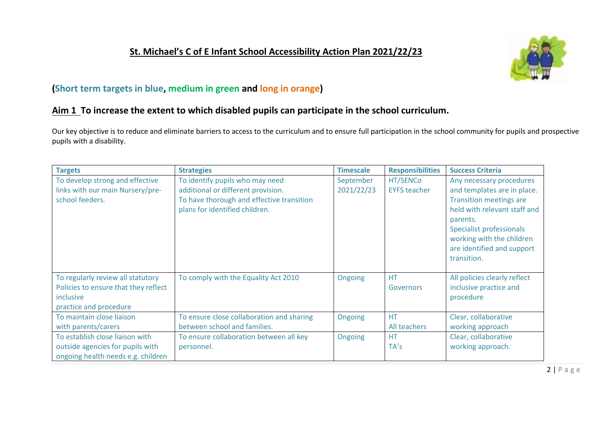#### **St. Michael's C of E Infant School Accessibility Action Plan 2021/22/23**



#### **(Short term targets in blue, medium in green and long in orange)**

#### **Aim 1 To increase the extent to which disabled pupils can participate in the school curriculum.**

Our key objective is to reduce and eliminate barriers to access to the curriculum and to ensure full participation in the school community for pupils and prospective pupils with a disability.

| <b>Targets</b>                       | <b>Strategies</b>                         | <b>Timescale</b> | <b>Responsibilities</b> | <b>Success Criteria</b>         |
|--------------------------------------|-------------------------------------------|------------------|-------------------------|---------------------------------|
| To develop strong and effective      | To identify pupils who may need           | September        | HT/SENCo                | Any necessary procedures        |
| links with our main Nursery/pre-     | additional or different provision.        | 2021/22/23       | <b>EYFS teacher</b>     | and templates are in place.     |
| school feeders.                      | To have thorough and effective transition |                  |                         | <b>Transition meetings are</b>  |
|                                      | plans for identified children.            |                  |                         | held with relevant staff and    |
|                                      |                                           |                  |                         | parents.                        |
|                                      |                                           |                  |                         | <b>Specialist professionals</b> |
|                                      |                                           |                  |                         | working with the children       |
|                                      |                                           |                  |                         | are identified and support      |
|                                      |                                           |                  |                         | transition.                     |
|                                      |                                           |                  |                         |                                 |
| To regularly review all statutory    | To comply with the Equality Act 2010      | Ongoing          | <b>HT</b>               | All policies clearly reflect    |
| Policies to ensure that they reflect |                                           |                  | Governors               | inclusive practice and          |
| inclusive                            |                                           |                  |                         | procedure                       |
| practice and procedure               |                                           |                  |                         |                                 |
| To maintain close liaison            | To ensure close collaboration and sharing | Ongoing          | <b>HT</b>               | Clear, collaborative            |
| with parents/carers                  | between school and families.              |                  | All teachers            | working approach                |
| To establish close liaison with      | To ensure collaboration between all key   | Ongoing          | <b>HT</b>               | Clear, collaborative            |
| outside agencies for pupils with     | personnel.                                |                  | TA's                    | working approach.               |
| ongoing health needs e.g. children   |                                           |                  |                         |                                 |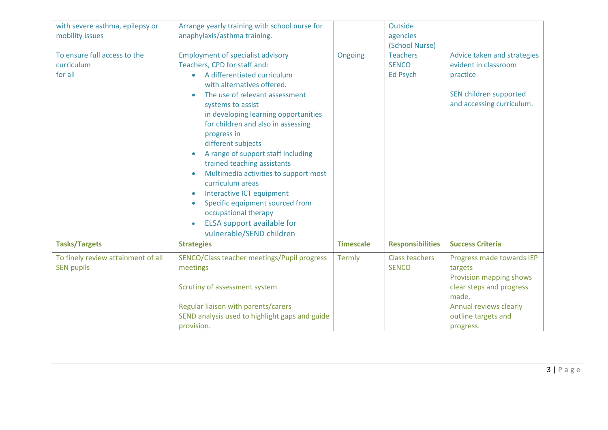| with severe asthma, epilepsy or<br>mobility issues      | Arrange yearly training with school nurse for<br>anaphylaxis/asthma training.                                                                                                                                                                                                                                                                                                                                                                                                                                                                                                                                                                                               |                  | Outside<br>agencies<br>(School Nurse)       |                                                                                                                        |
|---------------------------------------------------------|-----------------------------------------------------------------------------------------------------------------------------------------------------------------------------------------------------------------------------------------------------------------------------------------------------------------------------------------------------------------------------------------------------------------------------------------------------------------------------------------------------------------------------------------------------------------------------------------------------------------------------------------------------------------------------|------------------|---------------------------------------------|------------------------------------------------------------------------------------------------------------------------|
| To ensure full access to the<br>curriculum<br>for all   | <b>Employment of specialist advisory</b><br>Teachers, CPD for staff and:<br>A differentiated curriculum<br>$\bullet$<br>with alternatives offered.<br>The use of relevant assessment<br>$\bullet$<br>systems to assist<br>in developing learning opportunities<br>for children and also in assessing<br>progress in<br>different subjects<br>A range of support staff including<br>$\bullet$<br>trained teaching assistants<br>Multimedia activities to support most<br>curriculum areas<br><b>Interactive ICT equipment</b><br>$\bullet$<br>Specific equipment sourced from<br>$\bullet$<br>occupational therapy<br>ELSA support available for<br>vulnerable/SEND children | Ongoing          | <b>Teachers</b><br><b>SENCO</b><br>Ed Psych | Advice taken and strategies<br>evident in classroom<br>practice<br>SEN children supported<br>and accessing curriculum. |
| <b>Tasks/Targets</b>                                    | <b>Strategies</b>                                                                                                                                                                                                                                                                                                                                                                                                                                                                                                                                                                                                                                                           | <b>Timescale</b> | <b>Responsibilities</b>                     | <b>Success Criteria</b>                                                                                                |
| To finely review attainment of all<br><b>SEN pupils</b> | SENCO/Class teacher meetings/Pupil progress<br>meetings<br>Scrutiny of assessment system                                                                                                                                                                                                                                                                                                                                                                                                                                                                                                                                                                                    | Termly           | <b>Class teachers</b><br><b>SENCO</b>       | Progress made towards IEP<br>targets<br>Provision mapping shows<br>clear steps and progress<br>made.                   |
|                                                         | Regular liaison with parents/carers<br>SEND analysis used to highlight gaps and guide<br>provision.                                                                                                                                                                                                                                                                                                                                                                                                                                                                                                                                                                         |                  |                                             | Annual reviews clearly<br>outline targets and<br>progress.                                                             |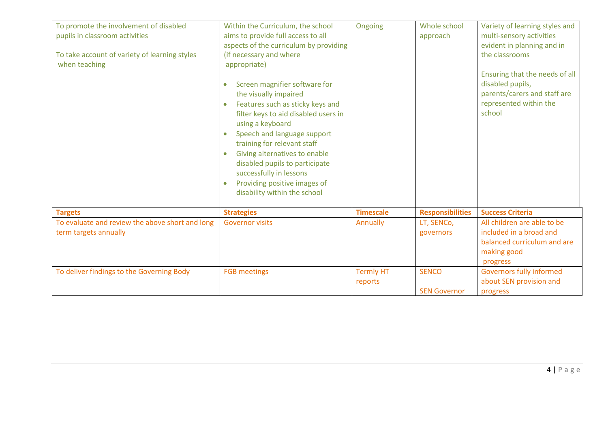| To promote the involvement of disabled<br>pupils in classroom activities<br>To take account of variety of learning styles<br>when teaching | Within the Curriculum, the school<br>aims to provide full access to all<br>aspects of the curriculum by providing<br>(if necessary and where<br>appropriate)<br>Screen magnifier software for<br>$\bullet$<br>the visually impaired<br>Features such as sticky keys and<br>$\bullet$<br>filter keys to aid disabled users in<br>using a keyboard<br>Speech and language support<br>$\bullet$<br>training for relevant staff<br>Giving alternatives to enable<br>$\bullet$<br>disabled pupils to participate<br>successfully in lessons<br>Providing positive images of<br>$\bullet$<br>disability within the school | Ongoing                     | Whole school<br>approach            | Variety of learning styles and<br>multi-sensory activities<br>evident in planning and in<br>the classrooms<br>Ensuring that the needs of all<br>disabled pupils,<br>parents/carers and staff are<br>represented within the<br>school |
|--------------------------------------------------------------------------------------------------------------------------------------------|---------------------------------------------------------------------------------------------------------------------------------------------------------------------------------------------------------------------------------------------------------------------------------------------------------------------------------------------------------------------------------------------------------------------------------------------------------------------------------------------------------------------------------------------------------------------------------------------------------------------|-----------------------------|-------------------------------------|--------------------------------------------------------------------------------------------------------------------------------------------------------------------------------------------------------------------------------------|
| <b>Targets</b>                                                                                                                             | <b>Strategies</b>                                                                                                                                                                                                                                                                                                                                                                                                                                                                                                                                                                                                   | <b>Timescale</b>            | <b>Responsibilities</b>             | <b>Success Criteria</b>                                                                                                                                                                                                              |
| To evaluate and review the above short and long<br>term targets annually                                                                   | <b>Governor visits</b>                                                                                                                                                                                                                                                                                                                                                                                                                                                                                                                                                                                              | Annually                    | LT, SENCo,<br>governors             | All children are able to be<br>included in a broad and<br>balanced curriculum and are<br>making good<br>progress                                                                                                                     |
| To deliver findings to the Governing Body                                                                                                  | <b>FGB</b> meetings                                                                                                                                                                                                                                                                                                                                                                                                                                                                                                                                                                                                 | <b>Termly HT</b><br>reports | <b>SENCO</b><br><b>SEN Governor</b> | Governors fully informed<br>about SEN provision and<br>progress                                                                                                                                                                      |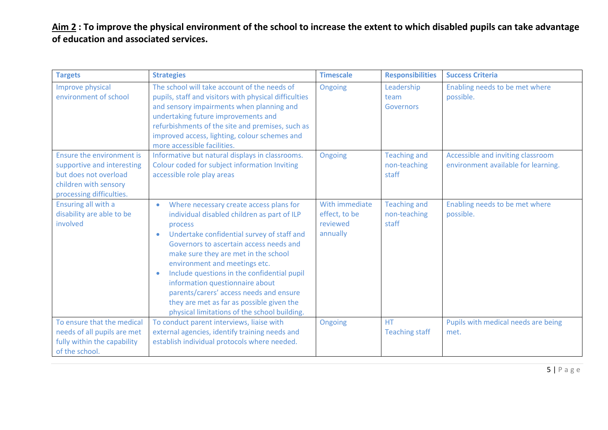Aim 2: To improve the physical environment of the school to increase the extent to which disabled pupils can take advantage **of education and associated services.**

| <b>Targets</b>                                                                                                                        | <b>Strategies</b>                                                                                                                                                                                                                                                                                                                                                                                                                                                                                                                    | <b>Timescale</b>                                        | <b>Responsibilities</b>                      | <b>Success Criteria</b>                                                  |
|---------------------------------------------------------------------------------------------------------------------------------------|--------------------------------------------------------------------------------------------------------------------------------------------------------------------------------------------------------------------------------------------------------------------------------------------------------------------------------------------------------------------------------------------------------------------------------------------------------------------------------------------------------------------------------------|---------------------------------------------------------|----------------------------------------------|--------------------------------------------------------------------------|
| Improve physical<br>environment of school                                                                                             | The school will take account of the needs of<br>pupils, staff and visitors with physical difficulties<br>and sensory impairments when planning and<br>undertaking future improvements and<br>refurbishments of the site and premises, such as<br>improved access, lighting, colour schemes and<br>more accessible facilities.                                                                                                                                                                                                        | Ongoing                                                 | Leadership<br>team<br>Governors              | Enabling needs to be met where<br>possible.                              |
| Ensure the environment is<br>supportive and interesting<br>but does not overload<br>children with sensory<br>processing difficulties. | Informative but natural displays in classrooms.<br>Colour coded for subject information Inviting<br>accessible role play areas                                                                                                                                                                                                                                                                                                                                                                                                       | Ongoing                                                 | <b>Teaching and</b><br>non-teaching<br>staff | Accessible and inviting classroom<br>environment available for learning. |
| Ensuring all with a<br>disability are able to be<br>involved                                                                          | Where necessary create access plans for<br>$\bullet$<br>individual disabled children as part of ILP<br>process<br>Undertake confidential survey of staff and<br>$\bullet$<br>Governors to ascertain access needs and<br>make sure they are met in the school<br>environment and meetings etc.<br>Include questions in the confidential pupil<br>$\bullet$<br>information questionnaire about<br>parents/carers' access needs and ensure<br>they are met as far as possible given the<br>physical limitations of the school building. | With immediate<br>effect, to be<br>reviewed<br>annually | <b>Teaching and</b><br>non-teaching<br>staff | Enabling needs to be met where<br>possible.                              |
| To ensure that the medical<br>needs of all pupils are met<br>fully within the capability<br>of the school.                            | To conduct parent interviews, liaise with<br>external agencies, identify training needs and<br>establish individual protocols where needed.                                                                                                                                                                                                                                                                                                                                                                                          | Ongoing                                                 | <b>HT</b><br><b>Teaching staff</b>           | Pupils with medical needs are being<br>met.                              |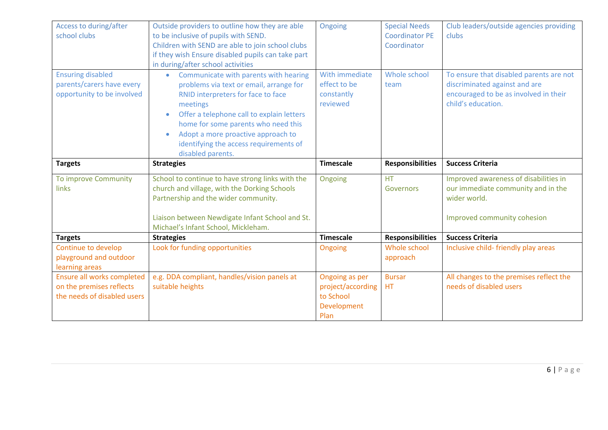| Access to during/after<br>school clubs                                              | Outside providers to outline how they are able<br>to be inclusive of pupils with SEND.<br>Children with SEND are able to join school clubs<br>if they wish Ensure disabled pupils can take part<br>in during/after school activities                                                                                                                    | Ongoing                                                  | <b>Special Needs</b><br><b>Coordinator PE</b><br>Coordinator | Club leaders/outside agencies providing<br>clubs                                                                                        |
|-------------------------------------------------------------------------------------|---------------------------------------------------------------------------------------------------------------------------------------------------------------------------------------------------------------------------------------------------------------------------------------------------------------------------------------------------------|----------------------------------------------------------|--------------------------------------------------------------|-----------------------------------------------------------------------------------------------------------------------------------------|
| <b>Ensuring disabled</b><br>parents/carers have every<br>opportunity to be involved | • Communicate with parents with hearing<br>problems via text or email, arrange for<br>RNID interpreters for face to face<br>meetings<br>Offer a telephone call to explain letters<br>$\bullet$<br>home for some parents who need this<br>Adopt a more proactive approach to<br>$\bullet$<br>identifying the access requirements of<br>disabled parents. | With immediate<br>effect to be<br>constantly<br>reviewed | Whole school<br>team                                         | To ensure that disabled parents are not<br>discriminated against and are<br>encouraged to be as involved in their<br>child's education. |
| <b>Targets</b>                                                                      | <b>Strategies</b>                                                                                                                                                                                                                                                                                                                                       | <b>Timescale</b>                                         | <b>Responsibilities</b>                                      | <b>Success Criteria</b>                                                                                                                 |
| To improve Community<br>links                                                       | School to continue to have strong links with the<br>church and village, with the Dorking Schools<br>Partnership and the wider community.<br>Liaison between Newdigate Infant School and St.<br>Michael's Infant School, Mickleham.                                                                                                                      | Ongoing                                                  | <b>HT</b><br>Governors                                       | Improved awareness of disabilities in<br>our immediate community and in the<br>wider world.<br>Improved community cohesion              |
| <b>Targets</b>                                                                      | <b>Strategies</b>                                                                                                                                                                                                                                                                                                                                       | <b>Timescale</b>                                         | <b>Responsibilities</b>                                      | <b>Success Criteria</b>                                                                                                                 |
| Continue to develop<br>playground and outdoor<br>learning areas                     | Look for funding opportunities                                                                                                                                                                                                                                                                                                                          | Ongoing                                                  | Whole school<br>approach                                     | Inclusive child-friendly play areas                                                                                                     |
| Ensure all works completed<br>on the premises reflects                              | e.g. DDA compliant, handles/vision panels at<br>suitable heights                                                                                                                                                                                                                                                                                        | Ongoing as per<br>project/according                      | <b>Bursar</b><br>HT                                          | All changes to the premises reflect the<br>needs of disabled users                                                                      |